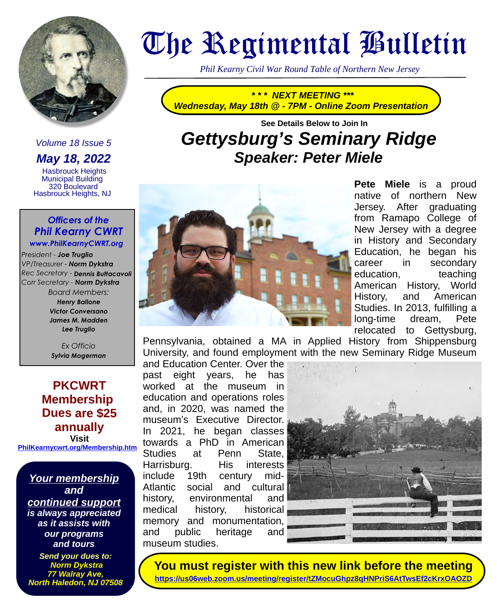

## Volume 18 Issue 5

**May 18, 2022**

 Hasbrouck Heights Municipal Building 320 Boulevard Hasbrouck Heights, NJ

### *Officers of the Phil Kearny CWRT www.PhilKearnyCWRT.org*

*President - Joe Truglio VP/Treasurer - Norm Dykstra Rec Secretary - Dennis Buttacavoli Corr Secretary - Norm Dykstra*

*Board Members: Henry Ballone Victor Conversano James M. Madden Lee Truglio*

*Ex Officio Sylvia Mogerman*

**PKCWRT Membership Dues are \$25 annually Visit** 

**[PhilKearnycwrt.org/Membership.htm](http://PhilKearnycwrt.org/Membership.htm)**

**Your membership and continued support is always appreciated as it assists with our programs and tours**

**Send your dues to: Norm Dykstra 77 Walray Ave, North Haledon, NJ 07508**

# The Regimental Bulletin

*Phil Kearny Civil War Round Table of Northern New Jersey*

**\* \* \* NEXT MEETING \*\*\* Wednesday, May 18th @ - 7PM - Online Zoom Presentation**

# **See Details Below to Join In Gettysburg's Seminary Ridge Speaker: Peter Miele**



Pete Miele is a proud native of northern New Jersey. After graduating from Ramapo College of New Jersey with a degree in History and Secondary Education, he began his career in secondary education, teaching American History, World History, and American Studies. In 2013, fulfilling a long-time dream, Pete relocated to Gettysburg,

Pennsylvania, obtained a MA in Applied History from Shippensburg University, and found employment with the new Seminary Ridge Museum

and Education Center. Over the past eight years, he has worked at the museum in education and operations roles and, in 2020, was named the museum's Executive Director. In 2021, he began classes towards a PhD in American Studies at Penn State, Harrisburg. His interests include 19th century mid-Atlantic social and cultural history, environmental and medical history, historical memory and monumentation, and public heritage and museum studies.



**You must register with this new link before the meeting <https://us06web.zoom.us/meeting/register/tZMocuGhpz8qHNPriS6AtTwsEf2cKrxOAOZD>**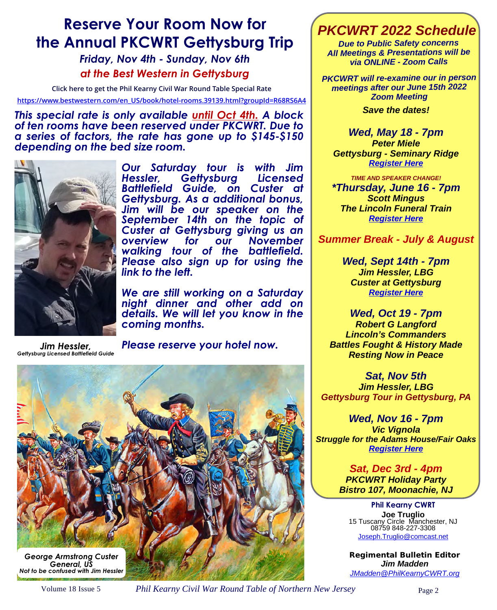# **Reserve Your Room Now for the Annual PKCWRT Gettysburg Trip**

*Friday, Nov 4th - Sunday, Nov 6th at the Best Western in Gettysburg*

**Click here to get the Phil Kearny Civil War Round Table Special Rate**

**[https://www.bestwestern.com/en\\_US/book/hotel-rooms.39139.html?groupId=R68RS6A4](https://www.bestwestern.com/en_US/book/hotel-rooms.39139.html?groupId=R68RS6A4)**

*This special rate is only available until Oct 4th. A block of ten rooms have been reserved under PKCWRT. Due to a series of factors, the rate has gone up to \$145-\$150 depending on the bed size room.* 



*Our Saturday tour is with Jim*  Gettysburg *Battlefield Guide, on Custer at Gettysburg. As a additional bonus, Jim will be our speaker on the September 14th on the topic of Custer at Gettysburg giving us an overview for our November walking tour of the battlefield. Please also sign up for using the link to the left.* 

*We are still working on a Saturday night dinner and other add on details. We will let you know in the coming months.* 

*Jim Hessler, Gettysburg Licensed Battlefield Guide*

*Please reserve your hotel now.* 



## **PKCWRT 2022 Schedule**

**Due to Public Safety concerns All Meetings & Presentations will be via ONLINE - Zoom Calls**

**PKCWRT will re-examine our in person meetings after our June 15th 2022 Zoom Meeting Save the dates!**

**Wed, May 18 - 7pm Peter Miele Gettysburg - Seminary Ridge [Register Here](https://us06web.zoom.us/meeting/register/tZMocuGhpz8qHNPriS6AtTwsEf2cKrxOAOZD)**

**TIME AND SPEAKER CHANGE! \*Thursday, June 16 - 7pm Scott Mingus The Lincoln Funeral Train [Register Here](https://us06web.zoom.us/meeting/register/tZcvfu6hrD8oGdFbkU7jGAGKUK0pcKThK0FT)**

**Summer Break - July & August** 

**Wed, Sept 14th - 7pm Jim Hessler, LBG Custer at Gettysburg [Register Here](https://us06web.zoom.us/meeting/register/tZEqdeCvpzsiGNd0cw1jQzYdQe8_n1fXO6Eh)** 

**Wed, Oct 19 - 7pm Robert G Langford Lincoln's Commanders Battles Fought & History Made Resting Now in Peace**

**Sat, Nov 5th Jim Hessler, LBG Gettysburg Tour in Gettysburg, PA**

**Wed, Nov 16 - 7pm Vic Vignola Struggle for the Adams House/Fair Oaks [Register Here](https://us06web.zoom.us/meeting/register/tZIpdemrqjgrHtdAb6KRagom8gGCWKaMHjyF)**

> **Sat, Dec 3rd - 4pm PKCWRT Holiday Party Bistro 107, Moonachie, NJ**

**Phil Kearny CWRT Joe Truglio** 15 Tuscany Circle Manchester, NJ 08759 848-227-3308 [Joseph.Truglio@comcast.net](mailto:Joseph.Truglio@comcast.net)

*Regimental Bulletin Editor*  **Jim Madden** [JMadden@PhilKearnyCWRT.org](mailto:JMadden@PhilKearnyCWRT.org)

Volume 18 Issue 5 *Phil Kearny Civil War Round Table of Northern New Jersey* Page 2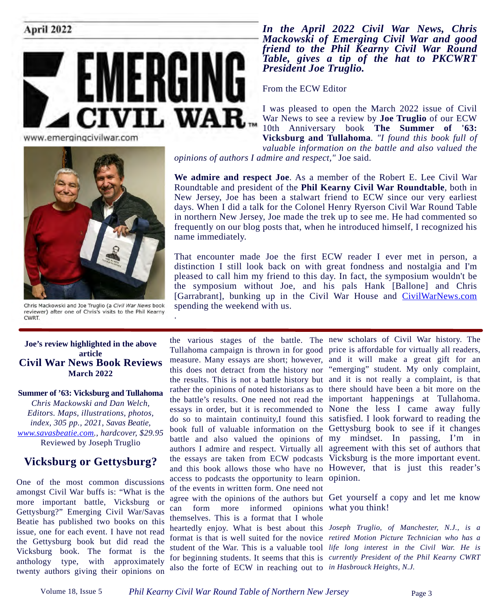

www.emergingcivilwar.com



Chris Mackowski and Joe Truglio (a Civil War News book reviewer) after one of Chris's visits to the Phil Kearny **CWRT** 

#### **Joe's review highlighted in the above article Civil War News Book Reviews March 2022**

#### **Summer of '63: Vicksburg and Tullahoma**

*Chris Mackowski and Dan Welch, Editors. Maps, illustrations, photos, index, 305 pp., 2021, Savas Beatie, [www.savasbeatie.com.](http://www.savasbeatie.com/), hardcover, \$29.95* Reviewed by Joseph Truglio

## **Vicksburg or Gettysburg?**

One of the most common discussions amongst Civil War buffs is: "What is the more important battle, Vicksburg or Gettysburg?" Emerging Civil War/Savas Beatie has published two books on this issue, one for each event. I have not read the Gettysburg book but did read the Vicksburg book. The format is the anthology type, with approximately twenty authors giving their opinions on

*In the April 2022 Civil War News, Chris Mackowski of Emerging Civil War and good friend to the Phil Kearny Civil War Round Table, gives a tip of the hat to PKCWRT President Joe Truglio.*

From the ECW Editor

I was pleased to open the March 2022 issue of Civil War News to see a review by **Joe Truglio** of our ECW 10th Anniversary book **The Summer of '63: Vicksburg and Tullahoma**. *"I found this book full of valuable information on the battle and also valued the opinions of authors I admire and respect,"* Joe said.

**We admire and respect Joe**. As a member of the Robert E. Lee Civil War Roundtable and president of the **Phil Kearny Civil War Roundtable**, both in New Jersey, Joe has been a stalwart friend to ECW since our very earliest days. When I did a talk for the Colonel Henry Ryerson Civil War Round Table in northern New Jersey, Joe made the trek up to see me. He had commented so frequently on our blog posts that, when he introduced himself, I recognized his name immediately.

That encounter made Joe the first ECW reader I ever met in person, a distinction I still look back on with great fondness and nostalgia and I'm pleased to call him my friend to this day. In fact, the symposium wouldn't be the symposium without Joe, and his pals Hank [Ballone] and Chris [Garrabrant], bunking up in the Civil War House and [CivilWarNews.com](http://CivilWarNews.com/) spending the weekend with us.

access to podcasts the opportunity to learn opinion. of the events in written form. One need not can form more informed opinions what you think! themselves. This is a format that I whole also the forte of ECW in reaching out to *in Hasbrouck Heights, N.J.*

the various stages of the battle. The new scholars of Civil War history. The Tullahoma campaign is thrown in for good price is affordable for virtually all readers, measure. Many essays are short; however, and it will make a great gift for an this does not detract from the history nor "emerging" student. My only complaint, the results. This is not a battle history but and it is not really a complaint, is that rather the opinions of noted historians as to there should have been a bit more on the the battle's results. One need not read the important happenings at Tullahoma. essays in order, but it is recommended to None the less I came away fully do so to maintain continuity,I found this satisfied. I look forward to reading the book full of valuable information on the Gettysburg book to see if it changes battle and also valued the opinions of my mindset. In passing, I'm in authors I admire and respect. Virtually all agreement with this set of authors that the essays are taken from ECW podcasts Vicksburg is the more important event. and this book allows those who have no However, that is just this reader's

agree with the opinions of the authors but Get yourself a copy and let me know

heartedly enjoy. What is best about this *Joseph Truglio, of Manchester, N.J., is a*  format is that is well suited for the novice *retired Motion Picture Technician who has a*  student of the War. This is a valuable tool *life long interest in the Civil War. He is*  for beginning students. It seems that this is *currently President of the Phil Kearny CWRT* 

.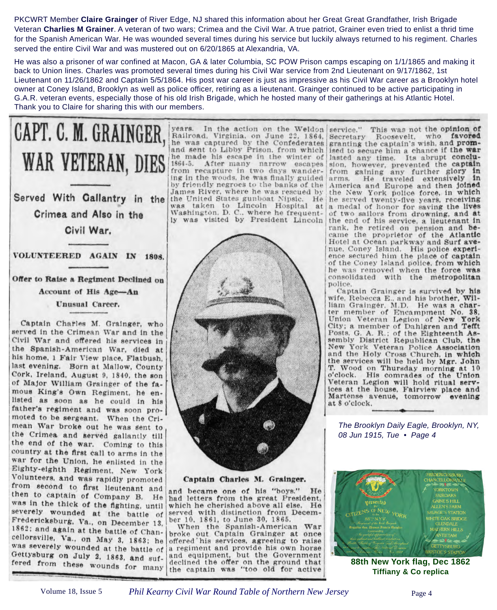PKCWRT Member **Claire Grainger** of River Edge, NJ shared this information about her Great Great Grandfather, Irish Brigade Veteran **Charlies M Grainer**. A veteran of two wars; Crimea and the Civil War. A true patriot, Grainer even tried to enlist a thrid time for the Spanish American War. He was wounded several times during his service but luckily always returned to his regiment. Charles served the entire Civil War and was mustered out on 6/20/1865 at Alexandria, VA.

He was also a prisoner of war confined at Macon, GA & later Columbia, SC POW Prison camps escaping on 1/1/1865 and making it back to Union lines. Charles was promoted several times during his Civil War service from 2nd Lieutenant on 9/17/1862, 1st Lieutenant on 11/26/1862 and Captain 5/5/1864. His post war career is just as impressive as his Civil War career as a Brooklyn hotel owner at Coney Island, Brooklyn as well as police officer, retiring as a lieutenant. Grainger continued to be active participating in G.A.R. veteran events, especially those of his old Irish Brigade, which he hosted many of their gatherings at his Atlantic Hotel. Thank you to Claire for sharing this with our members.

Served With Gallantry in the Crimea and Also in the Civil War.

CAPT. C. M. GRAINGER,

WAR VETERAN, DIES

VOLUNTEERED AGAIN IN 1898.

Offer to Raise a Regiment Declined on Account of His Age-An Unusual Career.

Captain Charles M. Grainger, who served in the Crimean War and in the Civil War and offered his services in the Spanish-American War, died at his home, 1 Fair View place, Flatbush. last evening. Born at Mallow, County Cork, Ireland, August 9, 1840, the son of Major William Grainger of the famous King's Own Regiment, he enlisted as soon as he could in his father's regiment and was soon promoted to be sergeant. When the Crimean War broke out he was sent to the Crimea and served gallantly till the end of the war. Coming to this country at the first call to arms in the war for the Union, he enlisted in the Eighty-eighth Regiment, New York Volunteers, and was rapidly promoted from second to first lieutenant and then to captain of Company B. He was in the thick of the fighting, until severely wounded at the battle of Fredericksburg, Va., on December 13, 1862; and again at the battle of Chancellorsville, Va., on May 3, 1863; he was severely wounded at the battle of Gettysburg on July 2, 1863, and suffered from these wounds for many

years. In the action on the Weldon Railroad, Virginia, on June 22, 1864. he was captured by the Confederates and sent to Libby Prison, from which he made his escape in the winter of 1864-5. After many narrow escapes from recapture in two days wandering in the woods, he was finally guided by friendly negroes to the banks of the James River, where he was rescued by the United States gunboat Nipsic. He was taken to Lincoln Hospital at Washington, D. C., where he frequently was visited by President Lincoln



Captain Charles M. Grainger.

and became one of his "boys." He had letters from the great President. which he cherished above all else. He served with distinction from December 10, 1861, to June 30, 1865.

When the Spanish-American War broke out Captain Grainger at once offered his services, agreeing to raise a regiment and provide his own horse and equipment, but the Government declined the offer on the ground that the captain was "too old for active

This was not the opinion of service." Secretary Roosevelt, who favored granting the captain's wish, and promised to secure him a chance if the war lasted any time. Its abrupt conclusion, however, prevented the captain from gaining any further glory  $1n$ arms. He traveled extensively  $1n$ America and Europe and then joined the New York police force, in which he served twenty-five years, receiving a medal of honor for saving the lives of two sailors from drowning, and at the end of his service, a lieutenant in rank, he retired on pension and be-<br>came the proprietor of the Atlantic Hotel at Ocean parkway and Surf avenue. Coney Island. His police experience secured him the place of captain of the Coney Island police, from which he was removed when the force was consolidated with the metropolitan police.

Captain Grainger is survived by his wife, Rebecca E., and his brother, William Grainger. M.D. He was a char-<br>ter member of Encampment No. 38. Union Veteran Legion of New York City; a member of Dahlgren and Tefft Posts, G. A. R.; of the Eighteenth Assembly District Republican Club, the New York Veteran Police Association and the Holy Cross Church, in which the services will be held by Mgr. John T. Wood on Thursday morning at 10 o'clock. His comrades of the Union Veteran Legion will hold ritual services at the house, Fairview place and Martense avenue, tomorrow evening at 8 o'clock.

The Brooklyn Daily Eagle, Brooklyn, NY, 08 Jun 1915, Tue • Page 4



**88th New York flag, Dec 1862 Tiffiany & Co replica**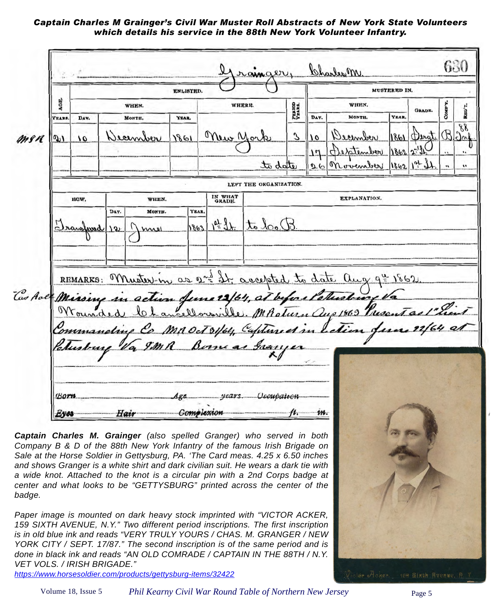#### *Captain Charles M Grainger's Civil War Muster Roll Abstracts of New York State Volunteers which details his service in the 88th New York Volunteer Infantry.*

630 Charles M MUSTERED IN. **ENLISTED.** AGE. WHEN. WHEN. WHERE. PERIOD<br>VEARS. REG'T **GRADE COMP** DAY. MONTH. **YEAR** VEAR. **YEARS** DAY. MONTH.  $\delta$ Mew 3  $\overline{0}$ men beenation  $1861$  $\delta b$  $chw$  $\sigma$ <sup>1</sup>  $\overline{0}$ 1862 to date  $26$ Moven LEFT THE ORGANIZATION. IN WHAT EXPLANATION. **HOW** WHEN. DAY. MONTH. **YEAR** to look  $10 + 31$ Semparad  $1863$ ١Q  $\mathbf{u}$ REMARKS: Muster-in as 2nd St. accepted to date aug 9 Cas Ave Mission m June 12/64, at before Patrickin ville, MRoturn au  $0.1869$ MROct 31/64, Captured in  $true$  $years$ **Born** *<u>Occupation</u>* **Complexion**  $i\omega$ Eyes Hair **Captain Charles M. Grainger** (also spelled Granger) who served in both Company B & D of the 88th New York Infantry of the famous Irish Brigade on

Sale at the Horse Soldier in Gettysburg, PA. 'The Card meas. 4.25 x 6.50 inches and shows Granger is a white shirt and dark civilian suit. He wears a dark tie with a wide knot. Attached to the knot is a circular pin with a 2nd Corps badge at center and what looks to be "GETTYSBURG" printed across the center of the badge.

Paper image is mounted on dark heavy stock imprinted with "VICTOR ACKER, 159 SIXTH AVENUE, N.Y." Two different period inscriptions. The first inscription is in old blue ink and reads "VERY TRULY YOURS / CHAS. M. GRANGER / NEW YORK CITY / SEPT. 17/87." The second inscription is of the same period and is done in black ink and reads "AN OLD COMRADE / CAPTAIN IN THE 88TH / N.Y. VET VOLS. / IRISH BRIGADE."